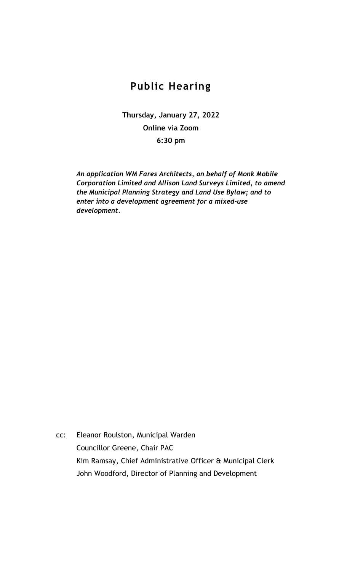## **Public Hearing**

**Thursday, January 27, 2022 Online via Zoom 6:30 pm**

*An application WM Fares Architects, on behalf of Monk Mobile Corporation Limited and Allison Land Surveys Limited, to amend the Municipal Planning Strategy and Land Use Bylaw; and to enter into a development agreement for a mixed-use development.*

cc: Eleanor Roulston, Municipal Warden Councillor Greene, Chair PAC Kim Ramsay, Chief Administrative Officer & Municipal Clerk John Woodford, Director of Planning and Development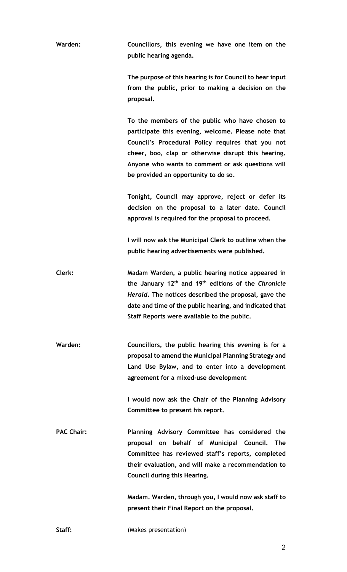**Warden: Councillors, this evening we have one item on the public hearing agenda.**

> **The purpose of this hearing is for Council to hear input from the public, prior to making a decision on the proposal.**

> **To the members of the public who have chosen to participate this evening, welcome. Please note that Council's Procedural Policy requires that you not cheer, boo, clap or otherwise disrupt this hearing. Anyone who wants to comment or ask questions will be provided an opportunity to do so.**

> **Tonight, Council may approve, reject or defer its decision on the proposal to a later date. Council approval is required for the proposal to proceed.**

> **I will now ask the Municipal Clerk to outline when the public hearing advertisements were published.**

**Clerk: Madam Warden, a public hearing notice appeared in the January 12th and 19th editions of the** *Chronicle Herald***. The notices described the proposal, gave the date and time of the public hearing, and indicated that Staff Reports were available to the public.** 

**Warden: Councillors, the public hearing this evening is for a proposal to amend the Municipal Planning Strategy and Land Use Bylaw, and to enter into a development agreement for a mixed-use development**

> **I would now ask the Chair of the Planning Advisory Committee to present his report.**

**PAC Chair: Planning Advisory Committee has considered the proposal on behalf of Municipal Council. The Committee has reviewed staff's reports, completed their evaluation, and will make a recommendation to Council during this Hearing.**

> **Madam. Warden, through you, I would now ask staff to present their Final Report on the proposal.**

**Staff:** (Makes presentation)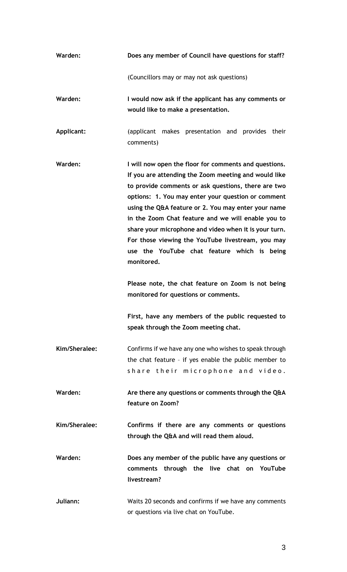| Warden:       | Does any member of Council have questions for staff?                                                                                                                                                                                                                                                                                                                                                                                                                                                               |
|---------------|--------------------------------------------------------------------------------------------------------------------------------------------------------------------------------------------------------------------------------------------------------------------------------------------------------------------------------------------------------------------------------------------------------------------------------------------------------------------------------------------------------------------|
|               | (Councillors may or may not ask questions)                                                                                                                                                                                                                                                                                                                                                                                                                                                                         |
| Warden:       | I would now ask if the applicant has any comments or<br>would like to make a presentation.                                                                                                                                                                                                                                                                                                                                                                                                                         |
| Applicant:    | (applicant makes presentation and provides their<br>comments)                                                                                                                                                                                                                                                                                                                                                                                                                                                      |
| Warden:       | I will now open the floor for comments and questions.<br>If you are attending the Zoom meeting and would like<br>to provide comments or ask questions, there are two<br>options: 1. You may enter your question or comment<br>using the Q&A feature or 2. You may enter your name<br>in the Zoom Chat feature and we will enable you to<br>share your microphone and video when it is your turn.<br>For those viewing the YouTube livestream, you may<br>use the YouTube chat feature which is being<br>monitored. |
|               | Please note, the chat feature on Zoom is not being<br>monitored for questions or comments.                                                                                                                                                                                                                                                                                                                                                                                                                         |
|               | First, have any members of the public requested to<br>speak through the Zoom meeting chat.                                                                                                                                                                                                                                                                                                                                                                                                                         |
| Kim/Sheralee: | Confirms if we have any one who wishes to speak through<br>the chat feature - if yes enable the public member to<br>share their microphone and video.                                                                                                                                                                                                                                                                                                                                                              |
| Warden:       | Are there any questions or comments through the Q&A<br>feature on Zoom?                                                                                                                                                                                                                                                                                                                                                                                                                                            |
| Kim/Sheralee: | Confirms if there are any comments or questions<br>through the Q&A and will read them aloud.                                                                                                                                                                                                                                                                                                                                                                                                                       |
| Warden:       | Does any member of the public have any questions or<br>comments through the live chat on YouTube<br>livestream?                                                                                                                                                                                                                                                                                                                                                                                                    |
| Juliann:      | Waits 20 seconds and confirms if we have any comments<br>or questions via live chat on YouTube.                                                                                                                                                                                                                                                                                                                                                                                                                    |